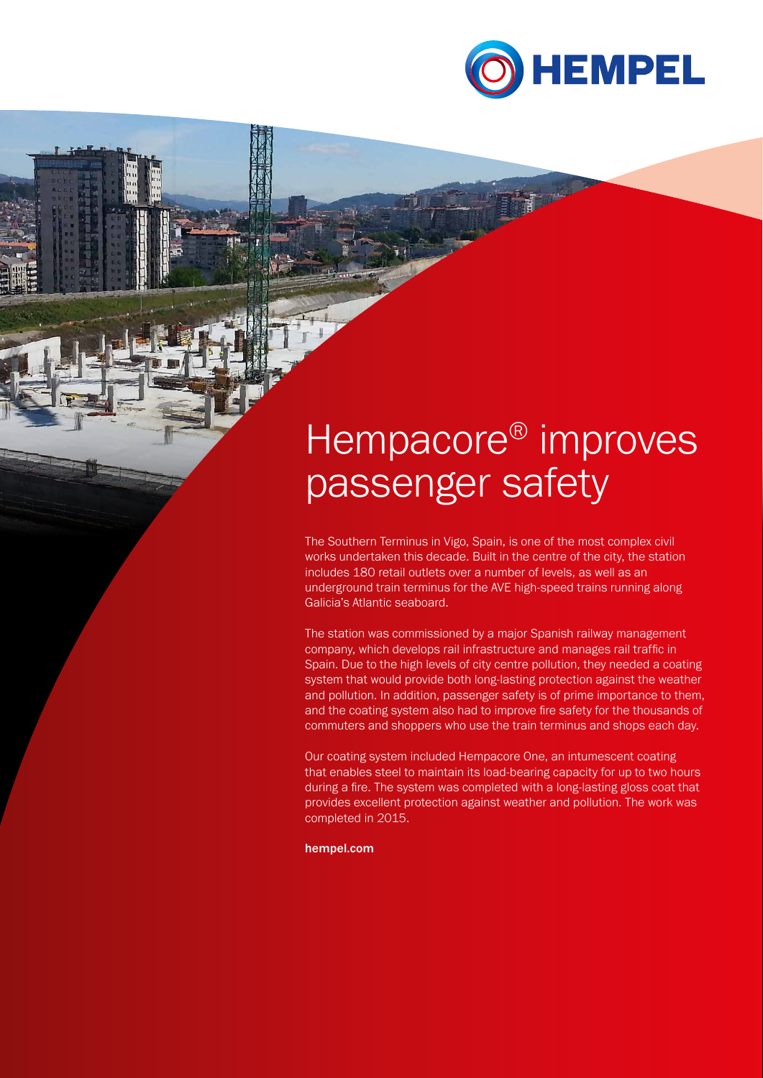

# Hempacore<sup>®</sup> improves passenger safety

The Southern Terminus in Vigo, Spain, is one of the most complex civil works undertaken this decade. Built in the centre of the city, the station includes 180 retail outlets over a number of levels, as well as an underground train terminus for the AVE high-speed trains running along Galicia's Atlantic seaboard.

The station was commissioned by a major Spanish railway management company, which develops rail infrastructure and manages rail traffic in Spain. Due to the high levels of city centre pollution, they needed a coating system that would provide both long-lasting protection against the weather and pollution. In addition, passenger safety is of prime importance to them, and the coating system also had to improve fire safety for the thousands of commuters and shoppers who use the train terminus and shops each day.

Our coating system included Hempacore One, an intumescent coating that enables steel to maintain its load-bearing capacity for up to two hours during a fire. The system was completed with a long-lasting gloss coat that provides excellent protection against weather and pollution. The work was completed in 2015.

hempel.com